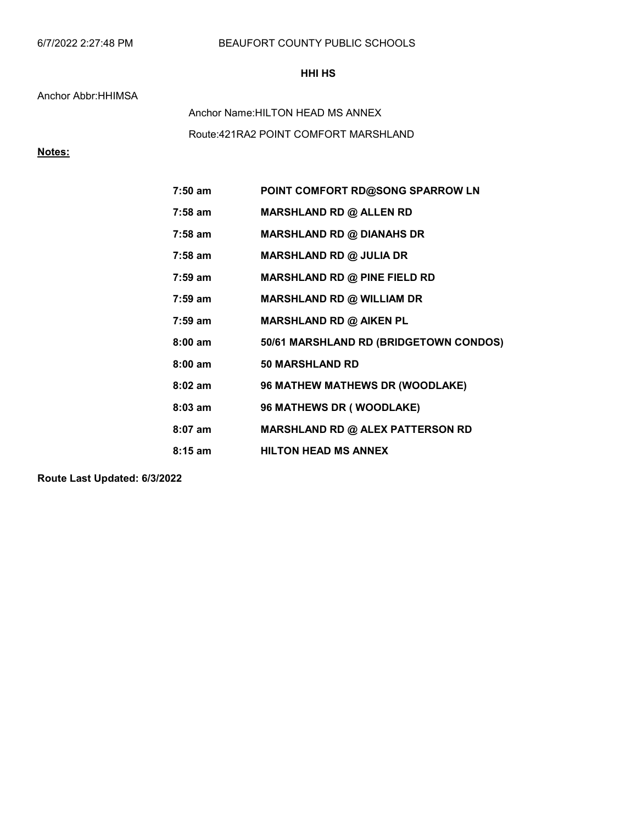# BEAUFORT COUNTY PUBLIC SCHOOLS

### HHI HS

#### Anchor Abbr:HHIMSA

Route:421RA2 POINT COMFORT MARSHLAND Anchor Name:HILTON HEAD MS ANNEX

# Notes:

| 7:50 am   | POINT COMFORT RD@SONG SPARROW LN       |
|-----------|----------------------------------------|
| 7:58 am   | <b>MARSHLAND RD @ ALLEN RD</b>         |
| 7:58 am   | <b>MARSHLAND RD @ DIANAHS DR</b>       |
| 7:58 am   | <b>MARSHLAND RD @ JULIA DR</b>         |
| $7:59$ am | <b>MARSHLAND RD @ PINE FIELD RD</b>    |
| 7:59 am   | <b>MARSHLAND RD @ WILLIAM DR</b>       |
| $7:59$ am | <b>MARSHLAND RD @ AIKEN PL</b>         |
| $8:00$ am | 50/61 MARSHLAND RD (BRIDGETOWN CONDOS) |
| $8:00$ am | <b>50 MARSHLAND RD</b>                 |
| $8:02$ am | 96 MATHEW MATHEWS DR (WOODLAKE)        |
| $8:03$ am | <b>96 MATHEWS DR (WOODLAKE)</b>        |
| $8:07$ am | MARSHLAND RD @ ALEX PATTERSON RD       |
| $8:15$ am | <b>HILTON HEAD MS ANNEX</b>            |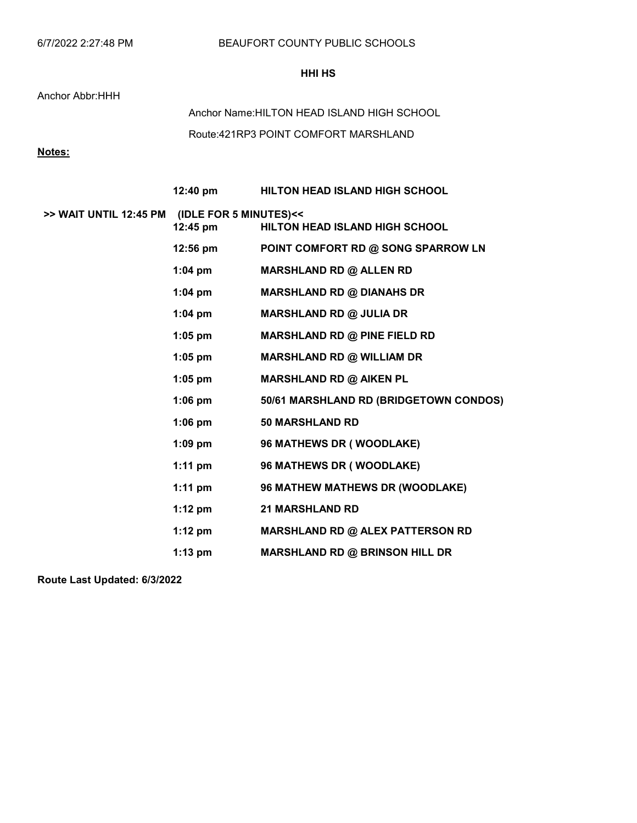### HHI HS

#### Anchor Abbr:HHH

Route:421RP3 POINT COMFORT MARSHLAND Anchor Name:HILTON HEAD ISLAND HIGH SCHOOL

# Notes:

|                                               | 12:40 pm          | <b>HILTON HEAD ISLAND HIGH SCHOOL</b>   |
|-----------------------------------------------|-------------------|-----------------------------------------|
| >> WAIT UNTIL 12:45 PM (IDLE FOR 5 MINUTES)<< | $12:45$ pm        | <b>HILTON HEAD ISLAND HIGH SCHOOL</b>   |
|                                               | $12:56$ pm        | POINT COMFORT RD @ SONG SPARROW LN      |
|                                               | 1:04 pm           | <b>MARSHLAND RD @ ALLEN RD</b>          |
|                                               | $1:04 \text{ pm}$ | <b>MARSHLAND RD @ DIANAHS DR</b>        |
|                                               | $1:04$ pm         | <b>MARSHLAND RD @ JULIA DR</b>          |
|                                               | $1:05$ pm         | MARSHLAND RD @ PINE FIELD RD            |
|                                               | $1:05$ pm         | <b>MARSHLAND RD @ WILLIAM DR</b>        |
|                                               | 1:05 pm           | <b>MARSHLAND RD @ AIKEN PL</b>          |
|                                               | $1:06$ pm         | 50/61 MARSHLAND RD (BRIDGETOWN CONDOS)  |
|                                               | $1:06$ pm         | <b>50 MARSHLAND RD</b>                  |
|                                               | $1:09$ pm         | 96 MATHEWS DR (WOODLAKE)                |
|                                               | $1:11$ pm         | 96 MATHEWS DR (WOODLAKE)                |
|                                               | 1:11 pm           | 96 MATHEW MATHEWS DR (WOODLAKE)         |
|                                               | $1:12 \text{ pm}$ | <b>21 MARSHLAND RD</b>                  |
|                                               | 1:12 $pm$         | <b>MARSHLAND RD @ ALEX PATTERSON RD</b> |
|                                               | $1:13$ pm         | <b>MARSHLAND RD @ BRINSON HILL DR</b>   |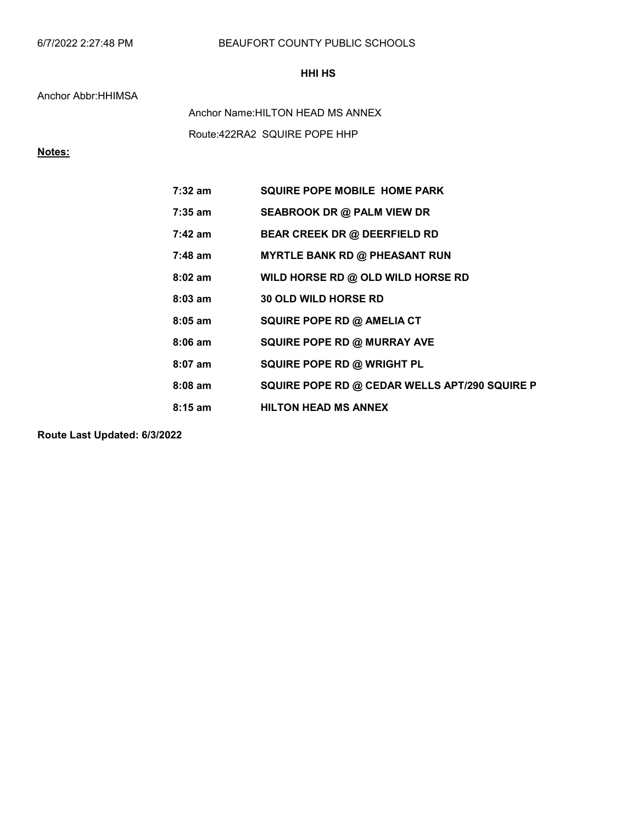# BEAUFORT COUNTY PUBLIC SCHOOLS

### HHI HS

#### Anchor Abbr:HHIMSA

Route:422RA2 SQUIRE POPE HHP Anchor Name:HILTON HEAD MS ANNEX

# Notes:

| $7:32$ am | <b>SQUIRE POPE MOBILE HOME PARK</b>           |
|-----------|-----------------------------------------------|
| 7:35 am   | <b>SEABROOK DR @ PALM VIEW DR</b>             |
| $7:42$ am | <b>BEAR CREEK DR @ DEERFIELD RD</b>           |
| $7:48$ am | <b>MYRTLE BANK RD @ PHEASANT RUN</b>          |
| $8:02$ am | WILD HORSE RD @ OLD WILD HORSE RD             |
| $8:03$ am | <b>30 OLD WILD HORSE RD</b>                   |
| $8:05$ am | SQUIRE POPE RD @ AMELIA CT                    |
| $8:06$ am | <b>SQUIRE POPE RD @ MURRAY AVE</b>            |
| $8:07$ am | SQUIRE POPE RD @ WRIGHT PL                    |
| $8:08$ am | SQUIRE POPE RD @ CEDAR WELLS APT/290 SQUIRE P |
| $8:15$ am | <b>HILTON HEAD MS ANNEX</b>                   |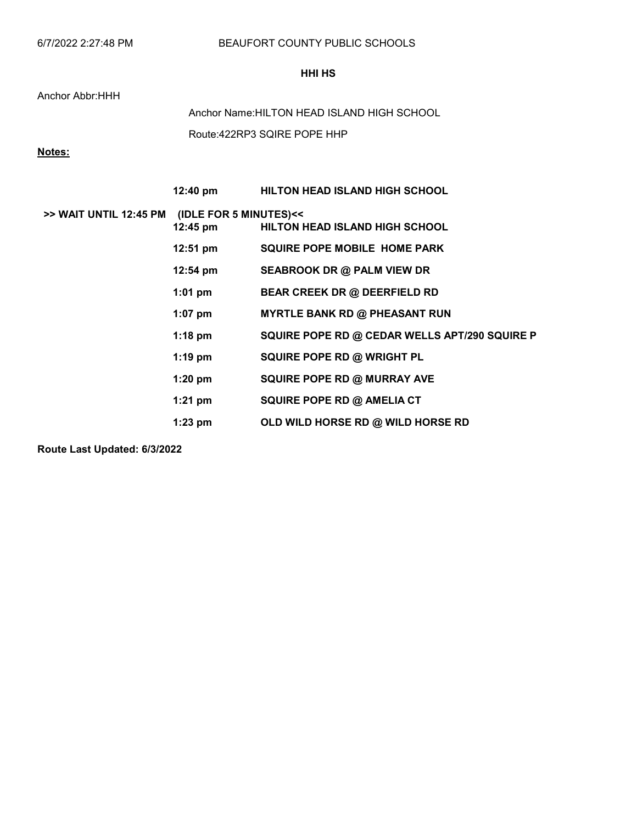#### HHI HS

Anchor Abbr:HHH

Route:422RP3 SQIRE POPE HHP Anchor Name:HILTON HEAD ISLAND HIGH SCHOOL

Notes:

|                        | $12:40 \text{ pm}$                           | <b>HILTON HEAD ISLAND HIGH SCHOOL</b>         |
|------------------------|----------------------------------------------|-----------------------------------------------|
| >> WAIT UNTIL 12:45 PM | (IDLE FOR 5 MINUTES)<<<br>$12:45 \text{ pm}$ | <b>HILTON HEAD ISLAND HIGH SCHOOL</b>         |
|                        | $12:51 \text{ pm}$                           | <b>SQUIRE POPE MOBILE HOME PARK</b>           |
|                        | $12:54 \text{ pm}$                           | SEABROOK DR @ PALM VIEW DR                    |
|                        | $1:01$ pm                                    | <b>BEAR CREEK DR @ DEERFIELD RD</b>           |
|                        | $1:07$ pm                                    | <b>MYRTLE BANK RD @ PHEASANT RUN</b>          |
|                        | $1:18$ pm                                    | SQUIRE POPE RD @ CEDAR WELLS APT/290 SQUIRE P |
|                        | $1:19$ pm                                    | SQUIRE POPE RD @ WRIGHT PL                    |
|                        | $1:20$ pm                                    | <b>SQUIRE POPE RD @ MURRAY AVE</b>            |
|                        | $1:21$ pm                                    | SQUIRE POPE RD @ AMELIA CT                    |
|                        | $1:23$ pm                                    | OLD WILD HORSE RD @ WILD HORSE RD             |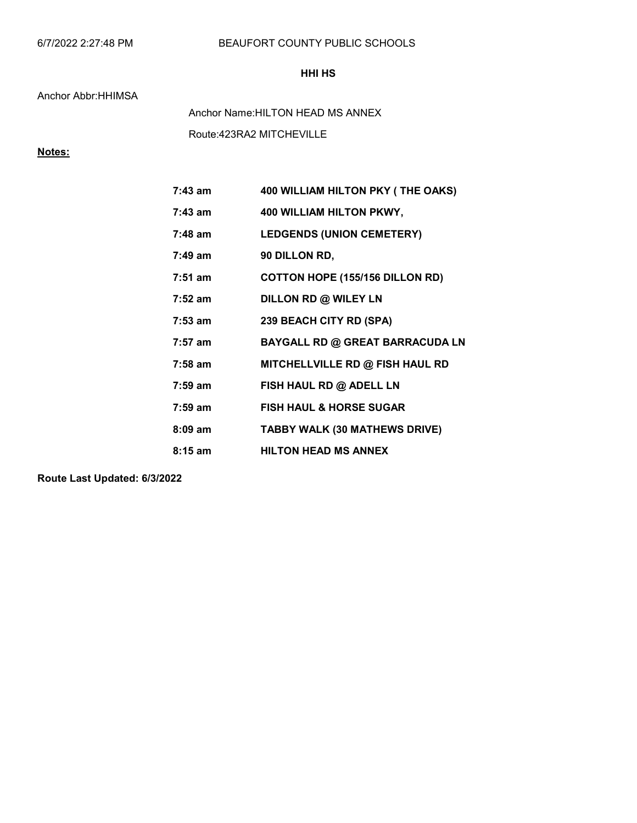# BEAUFORT COUNTY PUBLIC SCHOOLS

# HHI HS

#### Anchor Abbr:HHIMSA

Route:423RA2 MITCHEVILLE Anchor Name:HILTON HEAD MS ANNEX

# Notes:

| $7:43$ am         | 400 WILLIAM HILTON PKY (THE OAKS)      |
|-------------------|----------------------------------------|
| $7:43$ am         | 400 WILLIAM HILTON PKWY,               |
| $7:48$ am         | <b>LEDGENDS (UNION CEMETERY)</b>       |
| $7:49$ am         | 90 DILLON RD,                          |
| $7:51$ am         | <b>COTTON HOPE (155/156 DILLON RD)</b> |
| $7:52 \text{ am}$ | DILLON RD @ WILEY LN                   |
| $7:53 \text{ am}$ | 239 BEACH CITY RD (SPA)                |
| $7:57$ am         | <b>BAYGALL RD @ GREAT BARRACUDA LN</b> |
| $7:58$ am         | MITCHELLVILLE RD @ FISH HAUL RD        |
| $7:59$ am         | FISH HAUL RD @ ADELL LN                |
| $7:59$ am         | <b>FISH HAUL &amp; HORSE SUGAR</b>     |
| $8:09$ am         | <b>TABBY WALK (30 MATHEWS DRIVE)</b>   |
| $8:15$ am         | <b>HILTON HEAD MS ANNEX</b>            |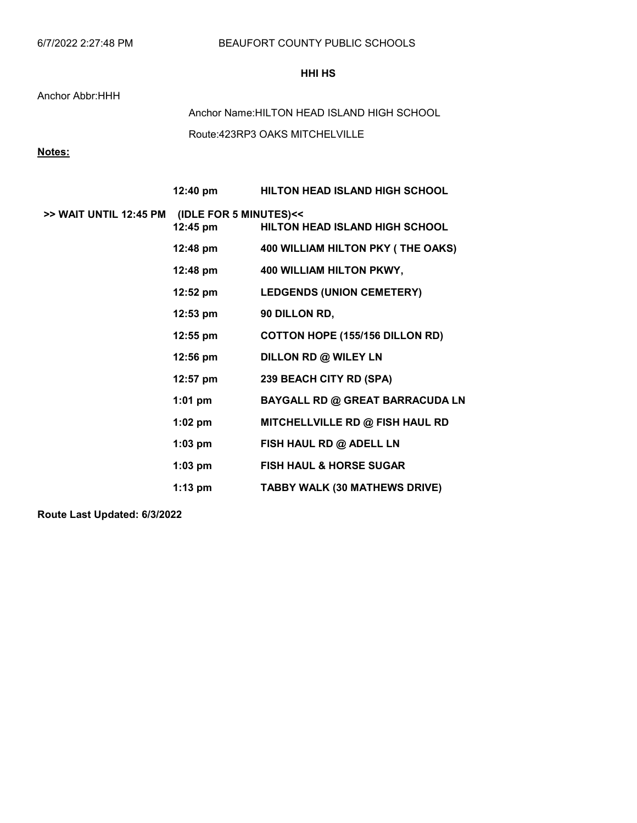### HHI HS

#### Anchor Abbr:HHH

Route:423RP3 OAKS MITCHELVILLE Anchor Name:HILTON HEAD ISLAND HIGH SCHOOL

# Notes:

|                                               | $12:40 \text{ pm}$ | <b>HILTON HEAD ISLAND HIGH SCHOOL</b>  |
|-----------------------------------------------|--------------------|----------------------------------------|
| >> WAIT UNTIL 12:45 PM (IDLE FOR 5 MINUTES)<< | $12:45 \text{ pm}$ | <b>HILTON HEAD ISLAND HIGH SCHOOL</b>  |
|                                               | 12:48 pm           | 400 WILLIAM HILTON PKY (THE OAKS)      |
|                                               | 12:48 pm           | 400 WILLIAM HILTON PKWY,               |
|                                               | 12:52 pm           | <b>LEDGENDS (UNION CEMETERY)</b>       |
|                                               | $12:53 \text{ pm}$ | 90 DILLON RD,                          |
|                                               | 12:55 pm           | <b>COTTON HOPE (155/156 DILLON RD)</b> |
|                                               | $12:56 \text{ pm}$ | DILLON RD @ WILEY LN                   |
|                                               | 12:57 pm           | 239 BEACH CITY RD (SPA)                |
|                                               | $1:01$ pm          | <b>BAYGALL RD @ GREAT BARRACUDA LN</b> |
|                                               | $1:02$ pm          | MITCHELLVILLE RD @ FISH HAUL RD        |
|                                               | $1:03$ pm          | FISH HAUL RD @ ADELL LN                |
|                                               | $1:03$ pm          | <b>FISH HAUL &amp; HORSE SUGAR</b>     |
|                                               | $1:13$ pm          | TABBY WALK (30 MATHEWS DRIVE)          |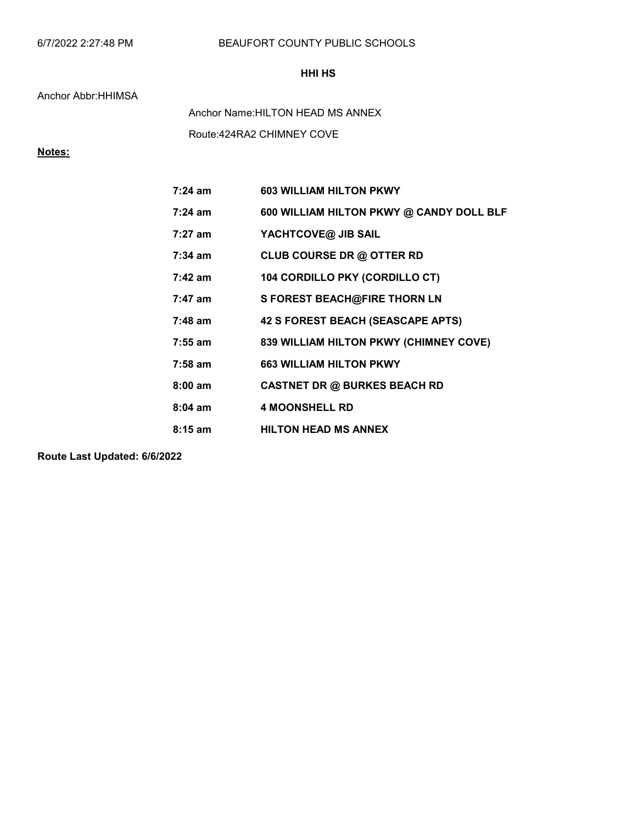# BEAUFORT COUNTY PUBLIC SCHOOLS

# HHI HS

#### Anchor Abbr:HHIMSA

Route:424RA2 CHIMNEY COVE Anchor Name:HILTON HEAD MS ANNEX

# Notes:

| $7:24$ am         | <b>603 WILLIAM HILTON PKWY</b>           |
|-------------------|------------------------------------------|
| $7:24 \text{ am}$ | 600 WILLIAM HILTON PKWY @ CANDY DOLL BLF |
| $7:27$ am         | YACHTCOVE@ JIB SAIL                      |
| $7:34$ am         | CLUB COURSE DR @ OTTER RD                |
| $7:42 \text{ am}$ | 104 CORDILLO PKY (CORDILLO CT)           |
| $7:47$ am         | S FOREST BEACH@FIRE THORN LN             |
| $7:48$ am         | 42 S FOREST BEACH (SEASCAPE APTS)        |
| $7:55$ am         | 839 WILLIAM HILTON PKWY (CHIMNEY COVE)   |
| $7:58$ am         | <b>663 WILLIAM HILTON PKWY</b>           |
| $8:00$ am         | <b>CASTNET DR @ BURKES BEACH RD</b>      |
| $8:04$ am         | <b>4 MOONSHELL RD</b>                    |
| $8:15$ am         | <b>HILTON HEAD MS ANNEX</b>              |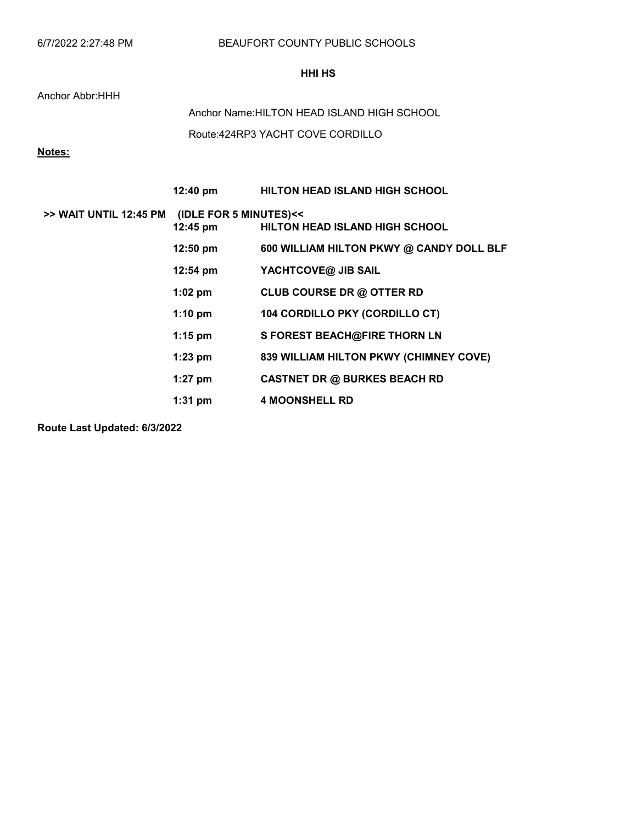### HHI HS

Anchor Abbr:HHH

Route:424RP3 YACHT COVE CORDILLO Anchor Name:HILTON HEAD ISLAND HIGH SCHOOL

Notes:

|                        | 12:40 pm                           | <b>HILTON HEAD ISLAND HIGH SCHOOL</b>    |
|------------------------|------------------------------------|------------------------------------------|
| >> WAIT UNTIL 12:45 PM | (IDLE FOR 5 MINUTES)<<<br>12:45 pm | <b>HILTON HEAD ISLAND HIGH SCHOOL</b>    |
|                        | $12:50 \text{ pm}$                 | 600 WILLIAM HILTON PKWY @ CANDY DOLL BLF |
|                        | $12:54 \text{ pm}$                 | YACHTCOVE@ JIB SAIL                      |
|                        | $1:02$ pm                          | <b>CLUB COURSE DR @ OTTER RD</b>         |
|                        | $1:10 \text{ pm}$                  | 104 CORDILLO PKY (CORDILLO CT)           |
|                        | $1:15$ pm                          | S FOREST BEACH@FIRE THORN LN             |
|                        | $1:23$ pm                          | 839 WILLIAM HILTON PKWY (CHIMNEY COVE)   |
|                        | $1:27$ pm                          | <b>CASTNET DR @ BURKES BEACH RD</b>      |
|                        | $1:31$ pm                          | <b>4 MOONSHELL RD</b>                    |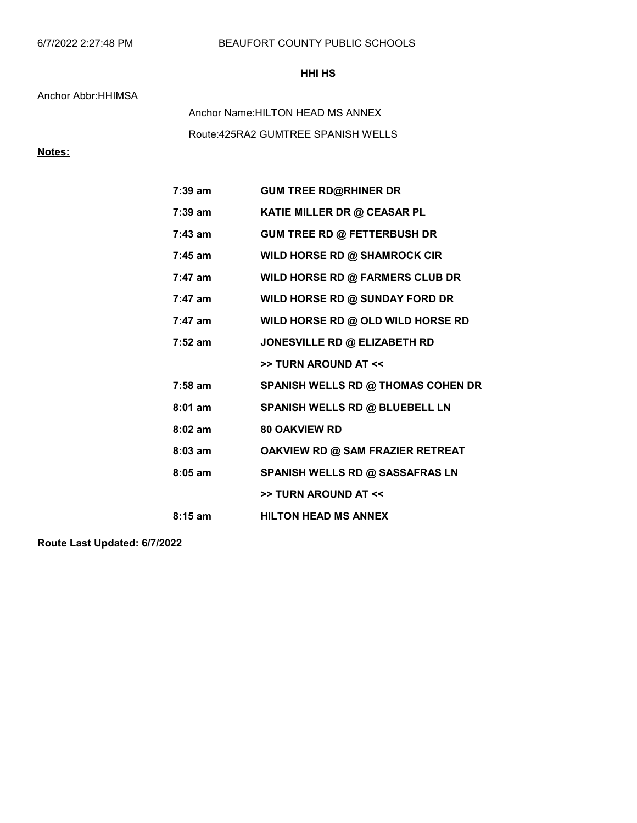# BEAUFORT COUNTY PUBLIC SCHOOLS

# HHI HS

### Anchor Abbr:HHIMSA

Route:425RA2 GUMTREE SPANISH WELLS Anchor Name:HILTON HEAD MS ANNEX

# Notes:

| $7:39$ am         | <b>GUM TREE RD@RHINER DR</b>              |
|-------------------|-------------------------------------------|
| 7:39 am           | KATIE MILLER DR @ CEASAR PL               |
| $7:43$ am         | GUM TREE RD @ FETTERBUSH DR               |
| $7:45$ am         | WILD HORSE RD @ SHAMROCK CIR              |
| $7:47$ am         | WILD HORSE RD @ FARMERS CLUB DR           |
| $7:47$ am         | WILD HORSE RD @ SUNDAY FORD DR            |
| $7:47$ am         | WILD HORSE RD @ OLD WILD HORSE RD         |
| $7:52 \text{ am}$ | JONESVILLE RD @ ELIZABETH RD              |
|                   | >> TURN AROUND AT <<                      |
| $7:58$ am         | <b>SPANISH WELLS RD @ THOMAS COHEN DR</b> |
| $8:01$ am         |                                           |
|                   | <b>SPANISH WELLS RD @ BLUEBELL LN</b>     |
| $8:02$ am         | <b>80 OAKVIEW RD</b>                      |
| $8:03$ am         | OAKVIEW RD @ SAM FRAZIER RETREAT          |
| $8:05$ am         | SPANISH WELLS RD @ SASSAFRAS LN           |
|                   | >> TURN AROUND AT <<                      |